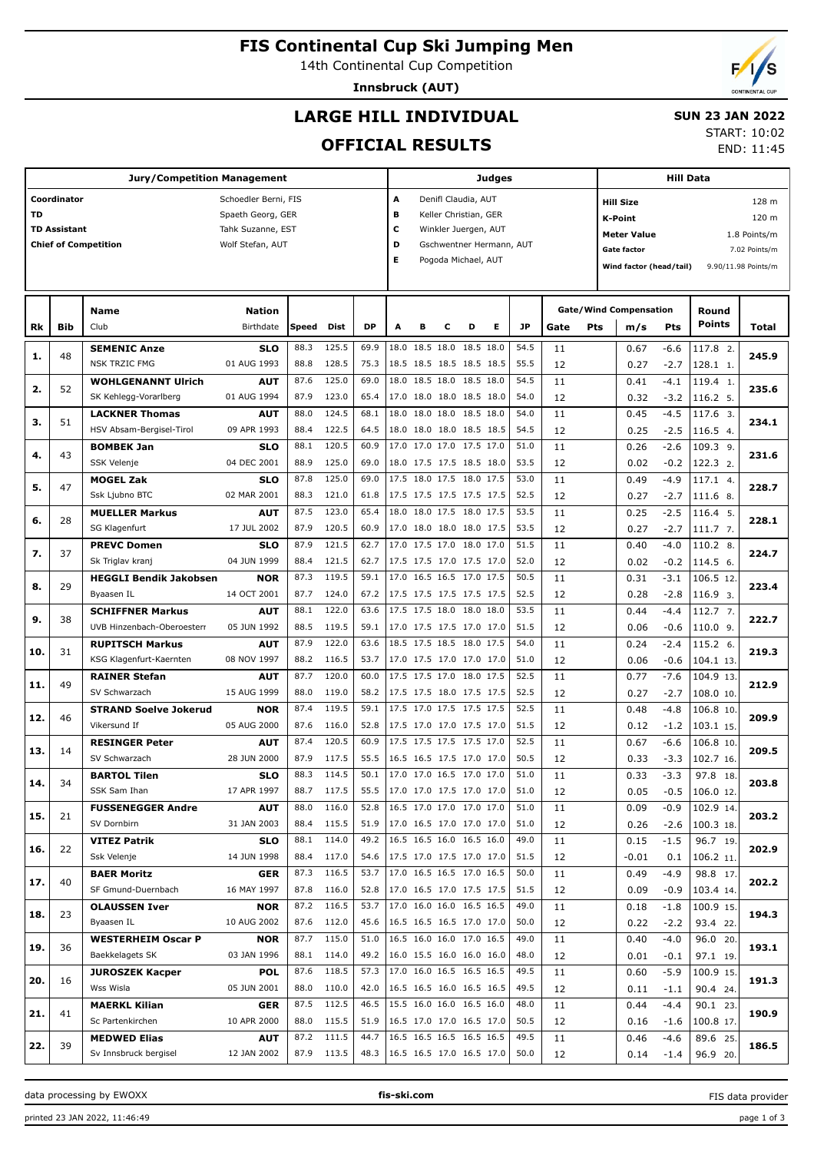# **FIS Continental Cup Ski Jumping Men**

14th Continental Cup Competition

**Innsbruck (AUT)**

## **LARGE HILL INDIVIDUAL**

### **SUN 23 JAN 2022** START: 10:02

**OFFICIAL RESULTS**

|           |                     | Jury/Competition Management   |                      |       |            |           |                            |                          |                       |   | Judges                   |           |             |                               | <b>Hill Data</b> |            |                     |
|-----------|---------------------|-------------------------------|----------------------|-------|------------|-----------|----------------------------|--------------------------|-----------------------|---|--------------------------|-----------|-------------|-------------------------------|------------------|------------|---------------------|
|           | Coordinator         |                               | Schoedler Berni, FIS |       |            |           | A                          |                          | Denifl Claudia, AUT   |   |                          |           |             | <b>Hill Size</b>              |                  |            | 128 m               |
| <b>TD</b> |                     |                               | Spaeth Georg, GER    |       |            |           | в                          |                          | Keller Christian, GER |   |                          |           |             | <b>K-Point</b>                |                  |            | 120 m               |
|           | <b>TD Assistant</b> |                               | Tahk Suzanne, EST    |       |            |           | c                          |                          | Winkler Juergen, AUT  |   |                          |           |             | <b>Meter Value</b>            |                  |            | 1.8 Points/m        |
|           |                     | <b>Chief of Competition</b>   | Wolf Stefan, AUT     |       |            |           | D                          |                          |                       |   | Gschwentner Hermann, AUT |           |             | Gate factor                   |                  |            | 7.02 Points/m       |
|           |                     |                               |                      |       |            |           | E                          |                          | Pogoda Michael, AUT   |   |                          |           |             |                               |                  |            |                     |
|           |                     |                               |                      |       |            |           |                            |                          |                       |   |                          |           |             | Wind factor (head/tail)       |                  |            | 9.90/11.98 Points/m |
|           |                     |                               |                      |       |            |           |                            |                          |                       |   |                          |           |             |                               |                  |            |                     |
|           |                     | Name                          | <b>Nation</b>        |       |            |           |                            |                          |                       |   |                          |           |             | <b>Gate/Wind Compensation</b> |                  | Round      |                     |
| Rk        | Bib                 | Club                          | Birthdate            | Speed | Dist       | <b>DP</b> | A                          | в                        | C                     | D | Е                        | <b>JP</b> | Gate<br>Pts | m/s                           | Pts              | Points     | Total               |
|           |                     |                               |                      |       |            |           |                            |                          |                       |   |                          |           |             |                               |                  |            |                     |
| 1.        | 48                  | <b>SEMENIC Anze</b>           | <b>SLO</b>           | 88.3  | 125.5      | 69.9      |                            | 18.0 18.5 18.0 18.5 18.0 |                       |   |                          | 54.5      | 11          | 0.67                          | -6.6             | 117.8 2.   | 245.9               |
|           |                     | <b>NSK TRZIC FMG</b>          | 01 AUG 1993          | 88.8  | 128.5      | 75.3      |                            | 18.5 18.5 18.5 18.5 18.5 |                       |   |                          | 55.5      | 12          | 0.27                          | $-2.7$           | 128.1 1.   |                     |
| 2.        | 52                  | <b>WOHLGENANNT Ulrich</b>     | <b>AUT</b>           | 87.6  | 125.0      | 69.0      | 18.0                       | 18.5 18.0 18.5 18.0      |                       |   |                          | 54.5      | 11          | 0.41                          | -4.1             | 119.4 1.   | 235.6               |
|           |                     | SK Kehlegg-Vorarlberg         | 01 AUG 1994          | 87.9  | 123.0      | 65.4      |                            | 17.0 18.0 18.0 18.5 18.0 |                       |   |                          | 54.0      | 12          | 0.32                          | $-3.2$           | 116.2 5.   |                     |
| з.        | 51                  | <b>LACKNER Thomas</b>         | AUT                  | 88.0  | 124.5      | 68.1      | 18.0                       | 18.0 18.0 18.5 18.0      |                       |   |                          | 54.0      | 11          | 0.45                          | $-4.5$           | 117.6 3.   | 234.1               |
|           |                     | HSV Absam-Bergisel-Tirol      | 09 APR 1993          | 88.4  | 122.5      | 64.5      |                            | 18.0 18.0 18.0 18.5 18.5 |                       |   |                          | 54.5      | 12          | 0.25                          | $-2.5$           | 116.5 4.   |                     |
| 4.        | 43                  | <b>BOMBEK Jan</b>             | SLO                  | 88.1  | 120.5      | 60.9      |                            | 17.0 17.0 17.0 17.5 17.0 |                       |   |                          | 51.0      | 11          | 0.26                          | $-2.6$           | 109.3 9.   | 231.6               |
|           |                     | <b>SSK Velenje</b>            | 04 DEC 2001          | 88.9  | 125.0      | 69.0      |                            | 18.0 17.5 17.5 18.5 18.0 |                       |   |                          | 53.5      | 12          | 0.02                          | $-0.2$           | 122.3 2.   |                     |
| 5.        | 47                  | <b>MOGEL Zak</b>              | <b>SLO</b>           | 87.8  | 125.0      | 69.0      |                            | 17.5 18.0 17.5 18.0 17.5 |                       |   |                          | 53.0      | 11          | 0.49                          | $-4.9$           | 117.1 4.   | 228.7               |
|           |                     | Ssk Ljubno BTC                | 02 MAR 2001          | 88.3  | 121.0      | 61.8      |                            | 17.5 17.5 17.5 17.5 17.5 |                       |   |                          | 52.5      | 12          | 0.27                          | $-2.7$           | 111.6 8.   |                     |
| 6.        | 28                  | <b>MUELLER Markus</b>         | <b>AUT</b>           | 87.5  | 123.0      | 65.4      | 18.0                       | 18.0 17.5 18.0 17.5      |                       |   |                          | 53.5      | 11          | 0.25                          | $-2.5$           | 116.4 5.   | 228.1               |
|           |                     | SG Klagenfurt                 | 17 JUL 2002          | 87.9  | 120.5      | 60.9      |                            | 17.0 18.0 18.0 18.0 17.5 |                       |   |                          | 53.5      | 12          | 0.27                          | $-2.7$           | 111.7 7.   |                     |
| 7.        | 37                  | <b>PREVC Domen</b>            | <b>SLO</b>           | 87.9  | 121.5      | 62.7      |                            | 17.0 17.5 17.0 18.0 17.0 |                       |   |                          | 51.5      | 11          | 0.40                          | $-4.0$           | 110.2 8.   | 224.7               |
|           |                     | Sk Triglav kranj              | 04 JUN 1999          | 88.4  | 121.5      | 62.7      |                            | 17.5 17.5 17.0 17.5 17.0 |                       |   |                          | 52.0      | 12          | 0.02                          | $-0.2$           | 114.5 6.   |                     |
| 8.        | 29                  | <b>HEGGLI Bendik Jakobsen</b> | <b>NOR</b>           | 87.3  | 119.5      | 59.1      |                            | 17.0 16.5 16.5 17.0 17.5 |                       |   |                          | 50.5      | 11          | 0.31                          | $-3.1$           | 106.5 12.  | 223.4               |
|           |                     | Byaasen IL                    | 14 OCT 2001          | 87.7  | 124.0      | 67.2      | 17.5 17.5 17.5 17.5 17.5   |                          |                       |   |                          | 52.5      | 12          | 0.28                          | $-2.8$           | 116.9 3.   |                     |
| 9.        | 38                  | <b>SCHIFFNER Markus</b>       | AUT                  | 88.1  | 122.0      | 63.6      |                            | 17.5 17.5 18.0 18.0 18.0 |                       |   |                          | 53.5      | 11          | 0.44                          | $-4.4$           | 112.7 7.   | 222.7               |
|           |                     | UVB Hinzenbach-Oberoesterr    | 05 JUN 1992          | 88.5  | 119.5      | 59.1      |                            | 17.0 17.5 17.5 17.0 17.0 |                       |   |                          | 51.5      | 12          | 0.06                          | $-0.6$           | 110.0 9.   |                     |
| 10.       | 31                  | <b>RUPITSCH Markus</b>        | AUT                  | 87.9  | 122.0      | 63.6      |                            | 18.5 17.5 18.5 18.0 17.5 |                       |   |                          | 54.0      | 11          | 0.24                          | $-2.4$           | $115.2$ 6. | 219.3               |
|           |                     | KSG Klagenfurt-Kaernten       | 08 NOV 1997          | 88.2  | 116.5      | 53.7      |                            | 17.0 17.5 17.0 17.0 17.0 |                       |   |                          | 51.0      | 12          | 0.06                          | $-0.6$           | 104.1 13.  |                     |
|           | 49                  | <b>RAINER Stefan</b>          | <b>AUT</b>           | 87.7  | 120.0      | 60.0      |                            | 17.5 17.5 17.0 18.0 17.5 |                       |   |                          | 52.5      | 11          | 0.77                          | $-7.6$           | 104.9 13.  | 212.9               |
| 11.       |                     | SV Schwarzach                 | 15 AUG 1999          | 88.0  | 119.0      | 58.2      |                            | 17.5 17.5 18.0 17.5 17.5 |                       |   |                          | 52.5      | 12          | 0.27                          | $-2.7$           | 108.0 10.  |                     |
|           | 46                  | <b>STRAND Soelve Jokerud</b>  | <b>NOR</b>           | 87.4  | 119.5      | 59.1      |                            | 17.5 17.0 17.5 17.5 17.5 |                       |   |                          | 52.5      | 11          | 0.48                          | $-4.8$           | 106.8 10.  | 209.9               |
| 12.       |                     | Vikersund If                  | 05 AUG 2000          | 87.6  | 116.0      | 52.8      |                            | 17.5 17.0 17.0 17.5 17.0 |                       |   |                          | 51.5      | 12          | 0.12                          | $-1.2$           | 103.1 15.  |                     |
|           |                     | <b>RESINGER Peter</b>         | <b>AUT</b>           | 87.4  | 120.5      | 60.9      |                            | 17.5 17.5 17.5 17.5 17.0 |                       |   |                          | 52.5      | 11          | 0.67                          | $-6.6$           | 106.8 10.  |                     |
| 13.       | 14                  | SV Schwarzach                 | 28 JUN 2000          | 87.9  | 117.5      | 55.5      |                            | 16.5 16.5 17.5 17.0 17.0 |                       |   |                          | 50.5      | 12          | 0.33                          | $-3.3$           | 102.7 16.  | 209.5               |
|           |                     | <b>BARTOL Tilen</b>           | <b>SLO</b>           | 88.3  | 114.5      | 50.1      |                            | 17.0 17.0 16.5 17.0 17.0 |                       |   |                          | 51.0      | 11          | 0.33                          | $-3.3$           | 97.8 18.   |                     |
| 14.       | 34                  | SSK Sam Ihan                  | 17 APR 1997          | 88.7  | 117.5      | 55.5      | 17.0 17.0 17.5 17.0 17.0   |                          |                       |   |                          | 51.0      | 12          | 0.05                          | $-0.5$           | 106.0 12.  | 203.8               |
|           |                     | <b>FUSSENEGGER Andre</b>      | <b>AUT</b>           | 88.0  | 116.0      | 52.8      |                            | 16.5 17.0 17.0 17.0 17.0 |                       |   |                          | 51.0      | 11          | 0.09                          | $-0.9$           | 102.9 14.  |                     |
| 15.       | 21                  | SV Dornbirn                   | 31 JAN 2003          | 88.4  | 115.5      | 51.9      | $17.0$ 16.5 17.0 17.0 17.0 |                          |                       |   |                          | 51.0      | 12          | 0.26                          | $-2.6$           | 100.3 18.  | 203.2               |
|           |                     | <b>VITEZ Patrik</b>           | <b>SLO</b>           | 88.1  | 114.0      | 49.2      |                            | 16.5 16.5 16.0 16.5 16.0 |                       |   |                          | 49.0      | 11          | 0.15                          | $-1.5$           | 96.7 19.   |                     |
| 16.       | 22                  | Ssk Velenje                   | 14 JUN 1998          | 88.4  | 117.0      | 54.6      | 17.5 17.0 17.5 17.0 17.0   |                          |                       |   |                          | 51.5      | 12          | $-0.01$                       | 0.1              | 106.2 11.  | 202.9               |
|           |                     | <b>BAER Moritz</b>            | <b>GER</b>           | 87.3  | 116.5      | 53.7      |                            | 17.0 16.5 16.5 17.0 16.5 |                       |   |                          | 50.0      | 11          | 0.49                          | $-4.9$           | 98.8 17.   |                     |
| 17.       | 40                  | SF Gmund-Duernbach            | 16 MAY 1997          | 87.8  | 116.0      | 52.8      | 17.0 16.5 17.0 17.5 17.5   |                          |                       |   |                          | 51.5      | 12          | 0.09                          | $-0.9$           | 103.4 14.  | 202.2               |
|           |                     | <b>OLAUSSEN Iver</b>          | <b>NOR</b>           | 87.2  | 116.5      | 53.7      |                            | 17.0 16.0 16.0 16.5 16.5 |                       |   |                          | 49.0      | 11          | 0.18                          | $-1.8$           | 100.9 15.  |                     |
| 18.       | 23                  | Byaasen IL                    | 10 AUG 2002          | 87.6  | 112.0      | 45.6      | 16.5 16.5 16.5 17.0 17.0   |                          |                       |   |                          | 50.0      | 12          | 0.22                          | $-2.2$           | 93.4 22.   | 194.3               |
|           |                     | <b>WESTERHEIM Oscar P</b>     | <b>NOR</b>           | 87.7  | 115.0      | 51.0      |                            | 16.5 16.0 16.0 17.0 16.5 |                       |   |                          | 49.0      | 11          | 0.40                          | $-4.0$           | 96.0 20.   |                     |
| 19.       | 36                  | Baekkelagets SK               | 03 JAN 1996          | 88.1  | 114.0      | 49.2      | $16.0$ 15.5 16.0 16.0 16.0 |                          |                       |   |                          | 48.0      | 12          | 0.01                          | $-0.1$           | 97.1 19.   | 193.1               |
|           |                     | <b>JUROSZEK Kacper</b>        | <b>POL</b>           | 87.6  | 118.5      | 57.3      |                            | 17.0 16.0 16.5 16.5 16.5 |                       |   |                          | 49.5      | 11          | 0.60                          | $-5.9$           | 100.9 15.  |                     |
| 20.       | 16                  | Wss Wisla                     | 05 JUN 2001          | 88.0  | 110.0      | 42.0      | 16.5 16.5 16.0 16.5 16.5   |                          |                       |   |                          | 49.5      | 12          | 0.11                          | $-1.1$           | 90.4 24.   | 191.3               |
|           |                     | <b>MAERKL Kilian</b>          | <b>GER</b>           | 87.5  | 112.5      | 46.5      |                            | 15.5 16.0 16.0 16.5 16.0 |                       |   |                          | 48.0      | 11          | 0.44                          | $-4.4$           | 90.1 23.   |                     |
| 21.       | 41                  | Sc Partenkirchen              | 10 APR 2000          | 88.0  | 115.5      | 51.9      | 16.5 17.0 17.0 16.5 17.0   |                          |                       |   |                          | 50.5      | 12          | 0.16                          | $-1.6$           | 100.8 17.  | 190.9               |
|           |                     | <b>MEDWED Elias</b>           | <b>AUT</b>           | 87.2  | 111.5      | 44.7      |                            | 16.5 16.5 16.5 16.5 16.5 |                       |   |                          | 49.5      | 11          | 0.46                          | $-4.6$           | 89.6 25.   |                     |
| 22.       | 39                  | Sv Innsbruck bergisel         | 12 JAN 2002          |       | 87.9 113.5 | 48.3      | $16.5$ 16.5 17.0 16.5 17.0 |                          |                       |   |                          | 50.0      | 12          | 0.14                          | $-1.4$           | 96.9 20.   | 186.5               |
|           |                     |                               |                      |       |            |           |                            |                          |                       |   |                          |           |             |                               |                  |            |                     |

data processing by EWOXX **fis-ski.com**

FIS data provider



END: 11:45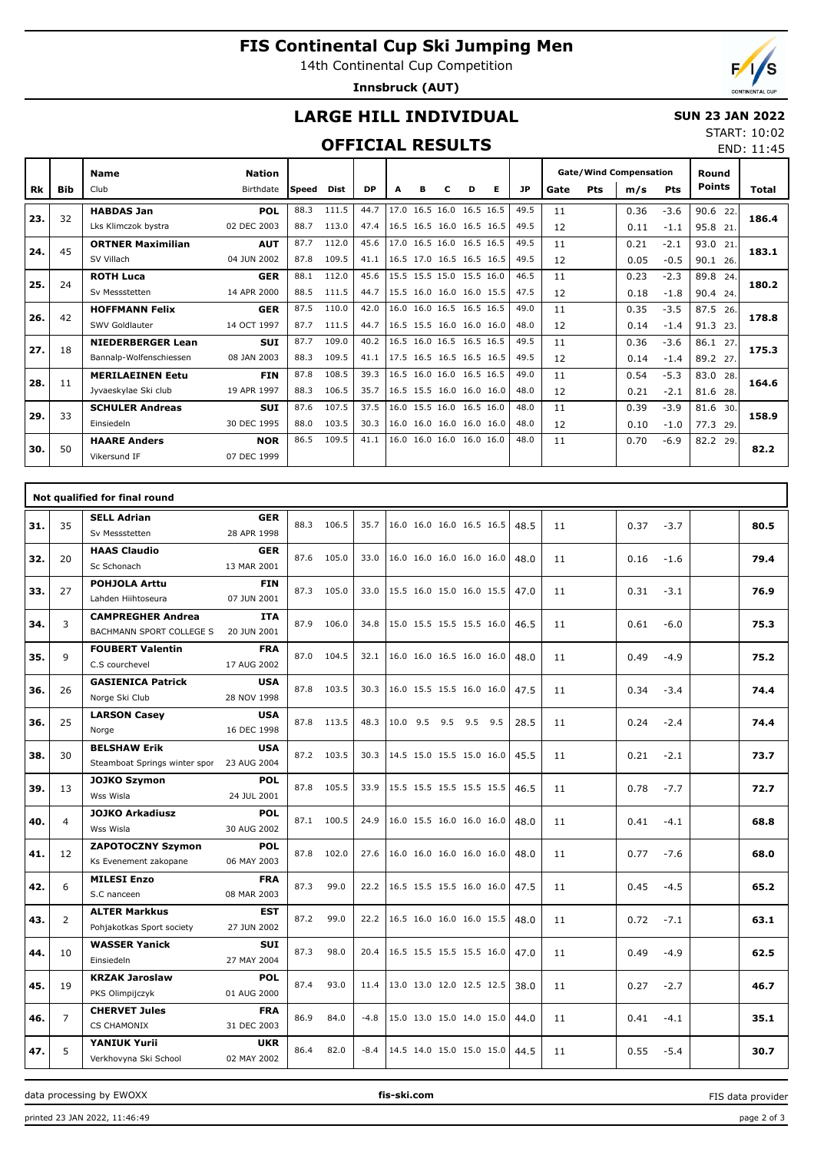# **FIS Continental Cup Ski Jumping Men**

14th Continental Cup Competition

**Innsbruck (AUT)**



END: 11:45

## **LARGE HILL INDIVIDUAL**

### **SUN 23 JAN 2022** START: 10:02

## **OFFICIAL RESULTS**

|     |            | <b>Name</b>              | <b>Nation</b> |              |       |           |   |   |   |                          |                          |      |      |     | <b>Gate/Wind Compensation</b> |            | Round         |       |
|-----|------------|--------------------------|---------------|--------------|-------|-----------|---|---|---|--------------------------|--------------------------|------|------|-----|-------------------------------|------------|---------------|-------|
| Rk  | <b>Bib</b> | Club                     | Birthdate     | <b>Speed</b> | Dist  | <b>DP</b> | A | в | С | D                        | Е                        | JP   | Gate | Pts | m/s                           | <b>Pts</b> | <b>Points</b> | Total |
| 23. | 32         | <b>HABDAS Jan</b>        | <b>POL</b>    | 88.3         | 111.5 | 44.7      |   |   |   | 17.0 16.5 16.0 16.5 16.5 |                          | 49.5 | 11   |     | 0.36                          | $-3.6$     | 90.6 22.      | 186.4 |
|     |            | Lks Klimczok bystra      | 02 DEC 2003   | 88.7         | 113.0 | 47.4      |   |   |   |                          | 16.5 16.5 16.0 16.5 16.5 | 49.5 | 12   |     | 0.11                          | $-1.1$     | 95.8 21.      |       |
| 24. | 45         | <b>ORTNER Maximilian</b> | <b>AUT</b>    | 87.7         | 112.0 | 45.6      |   |   |   | 17.0 16.5 16.0 16.5 16.5 |                          | 49.5 | 11   |     | 0.21                          | $-2.1$     | 93.0<br>21.   | 183.1 |
|     |            | SV Villach               | 04 JUN 2002   | 87.8         | 109.5 | 41.1      |   |   |   | 16.5 17.0 16.5 16.5 16.5 |                          | 49.5 | 12   |     | 0.05                          | $-0.5$     | 90.1 26.      |       |
| 25. | 24         | <b>ROTH Luca</b>         | <b>GER</b>    | 88.1         | 112.0 | 45.6      |   |   |   | 15.5 15.5 15.0 15.5 16.0 |                          | 46.5 | 11   |     | 0.23                          | $-2.3$     | 89.8<br>24.   | 180.2 |
|     |            | Sv Messstetten           | 14 APR 2000   | 88.5         | 111.5 | 44.7      |   |   |   |                          | 15.5 16.0 16.0 16.0 15.5 | 47.5 | 12   |     | 0.18                          | $-1.8$     | 90.4<br>24.   |       |
| 26. | 42         | <b>HOFFMANN Felix</b>    | <b>GER</b>    | 87.5         | 110.0 | 42.0      |   |   |   | 16.0 16.0 16.5 16.5 16.5 |                          | 49.0 | 11   |     | 0.35                          | $-3.5$     | 87.5<br>26.   | 178.8 |
|     |            | SWV Goldlauter           | 14 OCT 1997   | 87.7         | 111.5 | 44.7      |   |   |   | 16.5 15.5 16.0 16.0 16.0 |                          | 48.0 | 12   |     | 0.14                          | $-1.4$     | 91.3<br>23.   |       |
| 27. | 18         | <b>NIEDERBERGER Lean</b> | <b>SUI</b>    | 87.7         | 109.0 | 40.2      |   |   |   | 16.5 16.0 16.5 16.5 16.5 |                          | 49.5 | 11   |     | 0.36                          | $-3.6$     | 86.1 27.      | 175.3 |
|     |            | Bannalp-Wolfenschiessen  | 08 JAN 2003   | 88.3         | 109.5 | 41.1      |   |   |   |                          | 17.5 16.5 16.5 16.5 16.5 | 49.5 | 12   |     | 0.14                          | $-1.4$     | 89.2 27.      |       |
| 28. | 11         | <b>MERILAEINEN Eetu</b>  | <b>FIN</b>    | 87.8         | 108.5 | 39.3      |   |   |   | 16.5 16.0 16.0 16.5 16.5 |                          | 49.0 | 11   |     | 0.54                          | $-5.3$     | 83.0<br>28.   | 164.6 |
|     |            | Jyvaeskylae Ski club     | 19 APR 1997   | 88.3         | 106.5 | 35.7      |   |   |   | 16.5 15.5 16.0 16.0 16.0 |                          | 48.0 | 12   |     | 0.21                          | $-2.1$     | 81.6 28.      |       |
| 29. | 33         | <b>SCHULER Andreas</b>   | <b>SUI</b>    | 87.6         | 107.5 | 37.5      |   |   |   | 16.0 15.5 16.0 16.5 16.0 |                          | 48.0 | 11   |     | 0.39                          | $-3.9$     | 81.6<br>30.   | 158.9 |
|     |            | Einsiedeln               | 30 DEC 1995   | 88.0         | 103.5 | 30.3      |   |   |   |                          | 16.0 16.0 16.0 16.0 16.0 | 48.0 | 12   |     | 0.10                          | $-1.0$     | 77.3<br>29.   |       |
| 30. | 50         | <b>HAARE Anders</b>      | <b>NOR</b>    | 86.5         | 109.5 | 41.1      |   |   |   | 16.0 16.0 16.0 16.0 16.0 |                          | 48.0 | 11   |     | 0.70                          | $-6.9$     | 82.2<br>29.   | 82.2  |
|     |            | Vikersund IF             | 07 DEC 1999   |              |       |           |   |   |   |                          |                          |      |      |     |                               |            |               |       |

|     |                | Not qualified for final round                        |                           |      |            |        |                               |         |     |      |    |      |        |      |
|-----|----------------|------------------------------------------------------|---------------------------|------|------------|--------|-------------------------------|---------|-----|------|----|------|--------|------|
| 31. | 35             | <b>SELL Adrian</b><br>Sv Messstetten                 | <b>GER</b><br>28 APR 1998 | 88.3 | 106.5      | 35.7   | 16.0 16.0 16.0 16.5 16.5      |         |     | 48.5 | 11 | 0.37 | $-3.7$ | 80.5 |
| 32. | 20             | <b>HAAS Claudio</b><br>Sc Schonach                   | <b>GER</b><br>13 MAR 2001 | 87.6 | 105.0      | 33.0   | 16.0 16.0 16.0 16.0 16.0      |         |     | 48.0 | 11 | 0.16 | $-1.6$ | 79.4 |
| 33. | 27             | <b>POHJOLA Arttu</b><br>Lahden Hiihtoseura           | <b>FIN</b><br>07 JUN 2001 |      | 87.3 105.0 | 33.0   | 15.5 16.0 15.0 16.0 15.5      |         |     | 47.0 | 11 | 0.31 | $-3.1$ | 76.9 |
| 34. | 3              | <b>CAMPREGHER Andrea</b><br>BACHMANN SPORT COLLEGE S | <b>ITA</b><br>20 JUN 2001 |      | 87.9 106.0 | 34.8   | 15.0 15.5 15.5 15.5 16.0      |         |     | 46.5 | 11 | 0.61 | $-6.0$ | 75.3 |
| 35. | 9              | <b>FOUBERT Valentin</b><br>C.S courchevel            | <b>FRA</b><br>17 AUG 2002 |      | 87.0 104.5 | 32.1   | 16.0 16.0 16.5 16.0 16.0      |         |     | 48.0 | 11 | 0.49 | $-4.9$ | 75.2 |
| 36. | 26             | <b>GASIENICA Patrick</b><br>Norge Ski Club           | <b>USA</b><br>28 NOV 1998 | 87.8 | 103.5      | 30.3   | 16.0 15.5 15.5 16.0 16.0      |         |     | 47.5 | 11 | 0.34 | $-3.4$ | 74.4 |
| 36. | 25             | <b>LARSON Casey</b><br>Norge                         | <b>USA</b><br>16 DEC 1998 | 87.8 | 113.5      | 48.3   | $10.0$ 9.5                    | 9.5 9.5 | 9.5 | 28.5 | 11 | 0.24 | $-2.4$ | 74.4 |
| 38. | 30             | <b>BELSHAW Erik</b><br>Steamboat Springs winter spor | <b>USA</b><br>23 AUG 2004 | 87.2 | 103.5      | 30.3   | 14.5 15.0 15.5 15.0 16.0      |         |     | 45.5 | 11 | 0.21 | $-2.1$ | 73.7 |
| 39. | 13             | <b>JOJKO Szymon</b><br>Wss Wisla                     | <b>POL</b><br>24 JUL 2001 | 87.8 | 105.5      | 33.9   | 15.5 15.5 15.5 15.5 15.5      |         |     | 46.5 | 11 | 0.78 | $-7.7$ | 72.7 |
| 40. | $\overline{4}$ | <b>JOJKO Arkadiusz</b><br>Wss Wisla                  | <b>POL</b><br>30 AUG 2002 |      | 87.1 100.5 | 24.9   | 16.0 15.5 16.0 16.0 16.0      |         |     | 48.0 | 11 | 0.41 | $-4.1$ | 68.8 |
| 41. | 12             | <b>ZAPOTOCZNY Szymon</b><br>Ks Evenement zakopane    | <b>POL</b><br>06 MAY 2003 | 87.8 | 102.0      | 27.6   | 16.0 16.0 16.0 16.0 16.0      |         |     | 48.0 | 11 | 0.77 | $-7.6$ | 68.0 |
| 42. | 6              | <b>MILESI Enzo</b><br>S.C nanceen                    | <b>FRA</b><br>08 MAR 2003 | 87.3 | 99.0       |        | 22.2 16.5 15.5 15.5 16.0 16.0 |         |     | 47.5 | 11 | 0.45 | $-4.5$ | 65.2 |
| 43. | $\overline{2}$ | <b>ALTER Markkus</b><br>Pohjakotkas Sport society    | <b>EST</b><br>27 JUN 2002 | 87.2 | 99.0       | 22.2   | 16.5 16.0 16.0 16.0 15.5      |         |     | 48.0 | 11 | 0.72 | $-7.1$ | 63.1 |
| 44. | 10             | <b>WASSER Yanick</b><br>Einsiedeln                   | <b>SUI</b><br>27 MAY 2004 | 87.3 | 98.0       | 20.4   | 16.5 15.5 15.5 15.5 16.0      |         |     | 47.0 | 11 | 0.49 | $-4.9$ | 62.5 |
| 45. | 19             | <b>KRZAK Jaroslaw</b><br>PKS Olimpijczyk             | <b>POL</b><br>01 AUG 2000 | 87.4 | 93.0       | 11.4   | 13.0 13.0 12.0 12.5 12.5      |         |     | 38.0 | 11 | 0.27 | $-2.7$ | 46.7 |
| 46. | $\overline{7}$ | <b>CHERVET Jules</b><br><b>CS CHAMONIX</b>           | <b>FRA</b><br>31 DEC 2003 | 86.9 | 84.0       | $-4.8$ | 15.0 13.0 15.0 14.0 15.0      |         |     | 44.0 | 11 | 0.41 | $-4.1$ | 35.1 |
| 47. | 5              | <b>YANIUK Yurii</b><br>Verkhovyna Ski School         | <b>UKR</b><br>02 MAY 2002 | 86.4 | 82.0       | $-8.4$ | 14.5 14.0 15.0 15.0 15.0      |         |     | 44.5 | 11 | 0.55 | $-5.4$ | 30.7 |

data processing by EWOXX **fis-ski.com**

printed 23 JAN 2022, 11:46:49 page 2 of 3

FIS data provider